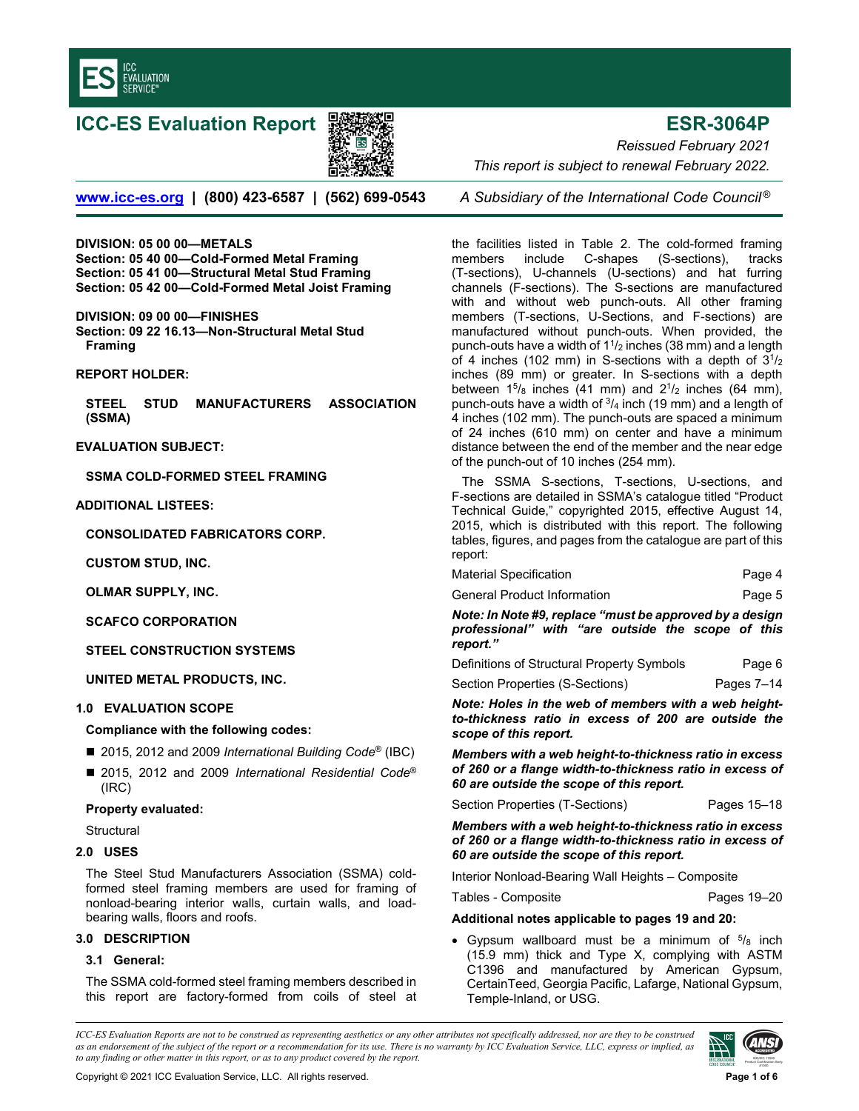

# **ICC-ES Evaluation Report ESR-3064P**



*Reissued February 2021 This report is subject to renewal February 2022.* 

**www.icc-es.org | (800) 423-6587 | (562) 699-0543** *A Subsidiary of the International Code Council ®*

**DIVISION: 05 00 00—METALS Section: 05 40 00—Cold-Formed Metal Framing Section: 05 41 00—Structural Metal Stud Framing Section: 05 42 00—Cold-Formed Metal Joist Framing** 

#### **DIVISION: 09 00 00—FINISHES**

**Section: 09 22 16.13—Non-Structural Metal Stud Framing** 

**REPORT HOLDER:** 

**STEEL STUD MANUFACTURERS ASSOCIATION (SSMA)**

**EVALUATION SUBJECT:** 

**SSMA COLD-FORMED STEEL FRAMING** 

#### **ADDITIONAL LISTEES:**

**CONSOLIDATED FABRICATORS CORP.** 

**CUSTOM STUD, INC.** 

**OLMAR SUPPLY, INC.** 

**SCAFCO CORPORATION** 

**STEEL CONSTRUCTION SYSTEMS** 

**UNITED METAL PRODUCTS, INC.** 

### **1.0 EVALUATION SCOPE**

**Compliance with the following codes:**

- 2015, 2012 and 2009 *International Building Code<sup>®</sup>* (IBC)
- 2015, 2012 and 2009 *International Residential Code<sup>®</sup>* (IRC)

### **Property evaluated:**

- **Structural**
- **2.0 USES**

The Steel Stud Manufacturers Association (SSMA) coldformed steel framing members are used for framing of nonload-bearing interior walls, curtain walls, and loadbearing walls, floors and roofs.

#### **3.0 DESCRIPTION**

#### **3.1 General:**

The SSMA cold-formed steel framing members described in this report are factory-formed from coils of steel at

the facilities listed in Table 2. The cold-formed framing members include C-shapes (S-sections), tracks (T-sections), U-channels (U-sections) and hat furring channels (F-sections). The S-sections are manufactured with and without web punch-outs. All other framing members (T-sections, U-Sections, and F-sections) are manufactured without punch-outs. When provided, the punch-outs have a width of  $1\frac{1}{2}$  inches (38 mm) and a length of 4 inches (102 mm) in S-sections with a depth of  $3^{1}/_{2}$ inches (89 mm) or greater. In S-sections with a depth between  $15\frac{1}{8}$  inches (41 mm) and  $2\frac{1}{2}$  inches (64 mm), punch-outs have a width of  $\frac{3}{4}$  inch (19 mm) and a length of 4 inches (102 mm). The punch-outs are spaced a minimum of 24 inches (610 mm) on center and have a minimum distance between the end of the member and the near edge of the punch-out of 10 inches (254 mm).

The SSMA S-sections, T-sections, U-sections, and F-sections are detailed in SSMA's catalogue titled "Product Technical Guide," copyrighted 2015, effective August 14, 2015, which is distributed with this report. The following tables, figures, and pages from the catalogue are part of this report:

| Material Specification | Page 4 |
|------------------------|--------|
|                        |        |

| General Product Information | Page 5 |
|-----------------------------|--------|
|-----------------------------|--------|

*Note: In Note #9, replace "must be approved by a design professional" with "are outside the scope of this report."* 

Definitions of Structural Property Symbols Page 6

Section Properties (S-Sections) Pages 7-14

*Note: Holes in the web of members with a web heightto-thickness ratio in excess of 200 are outside the scope of this report.* 

*Members with a web height-to-thickness ratio in excess of 260 or a flange width-to-thickness ratio in excess of 60 are outside the scope of this report.* 

Section Properties (T-Sections) Pages 15-18

*Members with a web height-to-thickness ratio in excess of 260 or a flange width-to-thickness ratio in excess of 60 are outside the scope of this report.*

Interior Nonload-Bearing Wall Heights – Composite

Tables - Composite **Pages** 19–20

#### **Additional notes applicable to pages 19 and 20:**

• Gypsum wallboard must be a minimum of  $5/8$  inch (15.9 mm) thick and Type X, complying with ASTM C1396 and manufactured by American Gypsum, CertainTeed, Georgia Pacific, Lafarge, National Gypsum, Temple-Inland, or USG.

*ICC-ES Evaluation Reports are not to be construed as representing aesthetics or any other attributes not specifically addressed, nor are they to be construed as an endorsement of the subject of the report or a recommendation for its use. There is no warranty by ICC Evaluation Service, LLC, express or implied, as to any finding or other matter in this report, or as to any product covered by the report.*

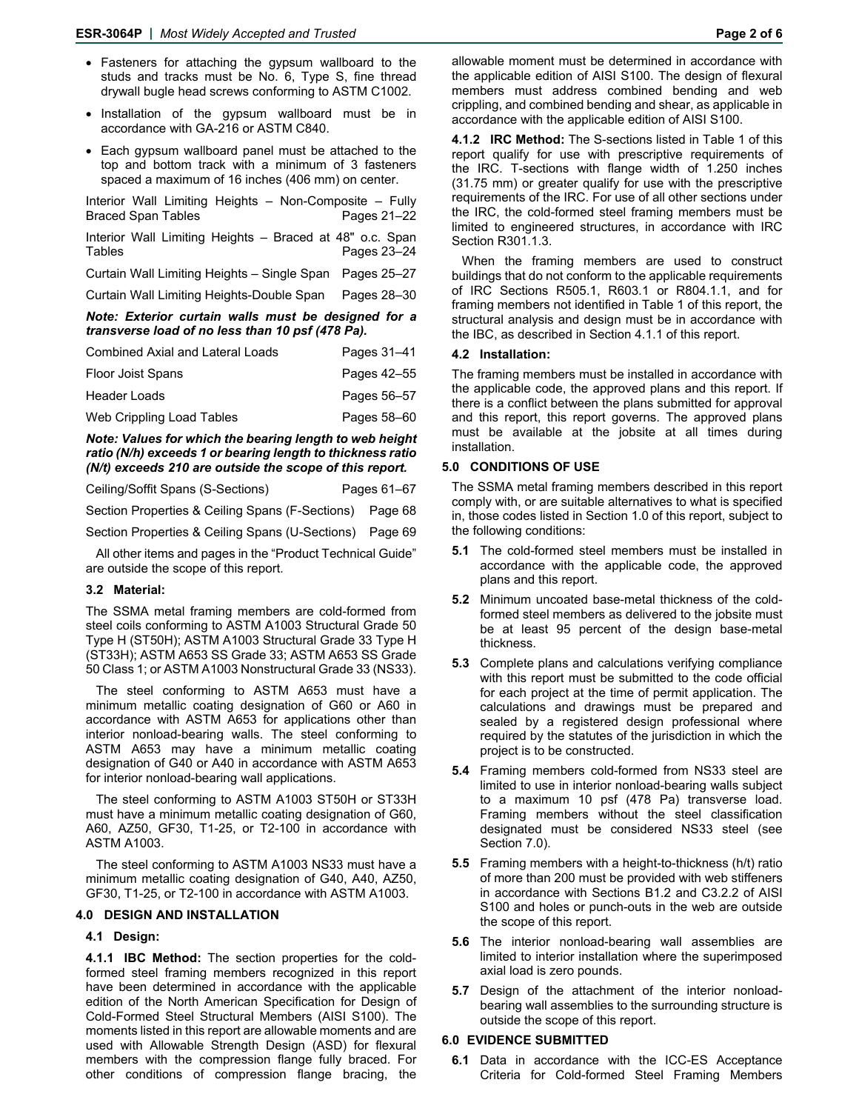- Fasteners for attaching the gypsum wallboard to the studs and tracks must be No. 6, Type S, fine thread drywall bugle head screws conforming to ASTM C1002.
- Installation of the gypsum wallboard must be in accordance with GA-216 or ASTM C840.
- Each gypsum wallboard panel must be attached to the top and bottom track with a minimum of 3 fasteners spaced a maximum of 16 inches (406 mm) on center.

Interior Wall Limiting Heights – Non-Composite – Fully Braced Span Tables Pages 21–22 Interior Wall Limiting Heights – Braced at 48" o.c. Span Tables **Pages 23–24** Curtain Wall Limiting Heights – Single Span Pages 25–27 Curtain Wall Limiting Heights-Double Span Pages 28–30 *Note: Exterior curtain walls must be designed for a* 

# *transverse load of no less than 10 psf (478 Pa).*

| <b>Combined Axial and Lateral Loads</b> | Pages 31-41 |
|-----------------------------------------|-------------|
| <b>Floor Joist Spans</b>                | Pages 42–55 |
| Header Loads                            | Pages 56-57 |
| Web Crippling Load Tables               | Pages 58–60 |

*Note: Values for which the bearing length to web height ratio (N/h) exceeds 1 or bearing length to thickness ratio (N/t) exceeds 210 are outside the scope of this report.* 

| Ceiling/Soffit Spans (S-Sections) | Pages 61–67 |
|-----------------------------------|-------------|
|-----------------------------------|-------------|

Section Properties & Ceiling Spans (F-Sections) Page 68

Section Properties & Ceiling Spans (U-Sections) Page 69

All other items and pages in the "Product Technical Guide" are outside the scope of this report.

#### **3.2 Material:**

The SSMA metal framing members are cold-formed from steel coils conforming to ASTM A1003 Structural Grade 50 Type H (ST50H); ASTM A1003 Structural Grade 33 Type H (ST33H); ASTM A653 SS Grade 33; ASTM A653 SS Grade 50 Class 1; or ASTM A1003 Nonstructural Grade 33 (NS33).

The steel conforming to ASTM A653 must have a minimum metallic coating designation of G60 or A60 in accordance with ASTM A653 for applications other than interior nonload-bearing walls. The steel conforming to ASTM A653 may have a minimum metallic coating designation of G40 or A40 in accordance with ASTM A653 for interior nonload-bearing wall applications.

The steel conforming to ASTM A1003 ST50H or ST33H must have a minimum metallic coating designation of G60, A60, AZ50, GF30, T1-25, or T2-100 in accordance with ASTM A1003.

The steel conforming to ASTM A1003 NS33 must have a minimum metallic coating designation of G40, A40, AZ50, GF30, T1-25, or T2-100 in accordance with ASTM A1003.

#### **4.0 DESIGN AND INSTALLATION**

#### **4.1 Design:**

**4.1.1 IBC Method:** The section properties for the coldformed steel framing members recognized in this report have been determined in accordance with the applicable edition of the North American Specification for Design of Cold-Formed Steel Structural Members (AISI S100). The moments listed in this report are allowable moments and are used with Allowable Strength Design (ASD) for flexural members with the compression flange fully braced. For other conditions of compression flange bracing, the

allowable moment must be determined in accordance with the applicable edition of AISI S100. The design of flexural members must address combined bending and web crippling, and combined bending and shear, as applicable in accordance with the applicable edition of AISI S100.

**4.1.2 IRC Method:** The S-sections listed in Table 1 of this report qualify for use with prescriptive requirements of the IRC. T-sections with flange width of 1.250 inches (31.75 mm) or greater qualify for use with the prescriptive requirements of the IRC. For use of all other sections under the IRC, the cold-formed steel framing members must be limited to engineered structures, in accordance with IRC Section R301.1.3.

When the framing members are used to construct buildings that do not conform to the applicable requirements of IRC Sections R505.1, R603.1 or R804.1.1, and for framing members not identified in Table 1 of this report, the structural analysis and design must be in accordance with the IBC, as described in Section 4.1.1 of this report.

#### **4.2 Installation:**

The framing members must be installed in accordance with the applicable code, the approved plans and this report. If there is a conflict between the plans submitted for approval and this report, this report governs. The approved plans must be available at the jobsite at all times during installation.

#### **5.0 CONDITIONS OF USE**

The SSMA metal framing members described in this report comply with, or are suitable alternatives to what is specified in, those codes listed in Section 1.0 of this report, subject to the following conditions:

- **5.1** The cold-formed steel members must be installed in accordance with the applicable code, the approved plans and this report.
- **5.2** Minimum uncoated base-metal thickness of the coldformed steel members as delivered to the jobsite must be at least 95 percent of the design base-metal thickness.
- **5.3** Complete plans and calculations verifying compliance with this report must be submitted to the code official for each project at the time of permit application. The calculations and drawings must be prepared and sealed by a registered design professional where required by the statutes of the jurisdiction in which the project is to be constructed.
- **5.4** Framing members cold-formed from NS33 steel are limited to use in interior nonload-bearing walls subject to a maximum 10 psf (478 Pa) transverse load. Framing members without the steel classification designated must be considered NS33 steel (see Section 7.0).
- **5.5** Framing members with a height-to-thickness (h/t) ratio of more than 200 must be provided with web stiffeners in accordance with Sections B1.2 and C3.2.2 of AISI S100 and holes or punch-outs in the web are outside the scope of this report.
- **5.6** The interior nonload-bearing wall assemblies are limited to interior installation where the superimposed axial load is zero pounds.
- **5.7** Design of the attachment of the interior nonloadbearing wall assemblies to the surrounding structure is outside the scope of this report.

#### **6.0 EVIDENCE SUBMITTED**

**6.1** Data in accordance with the ICC-ES Acceptance Criteria for Cold-formed Steel Framing Members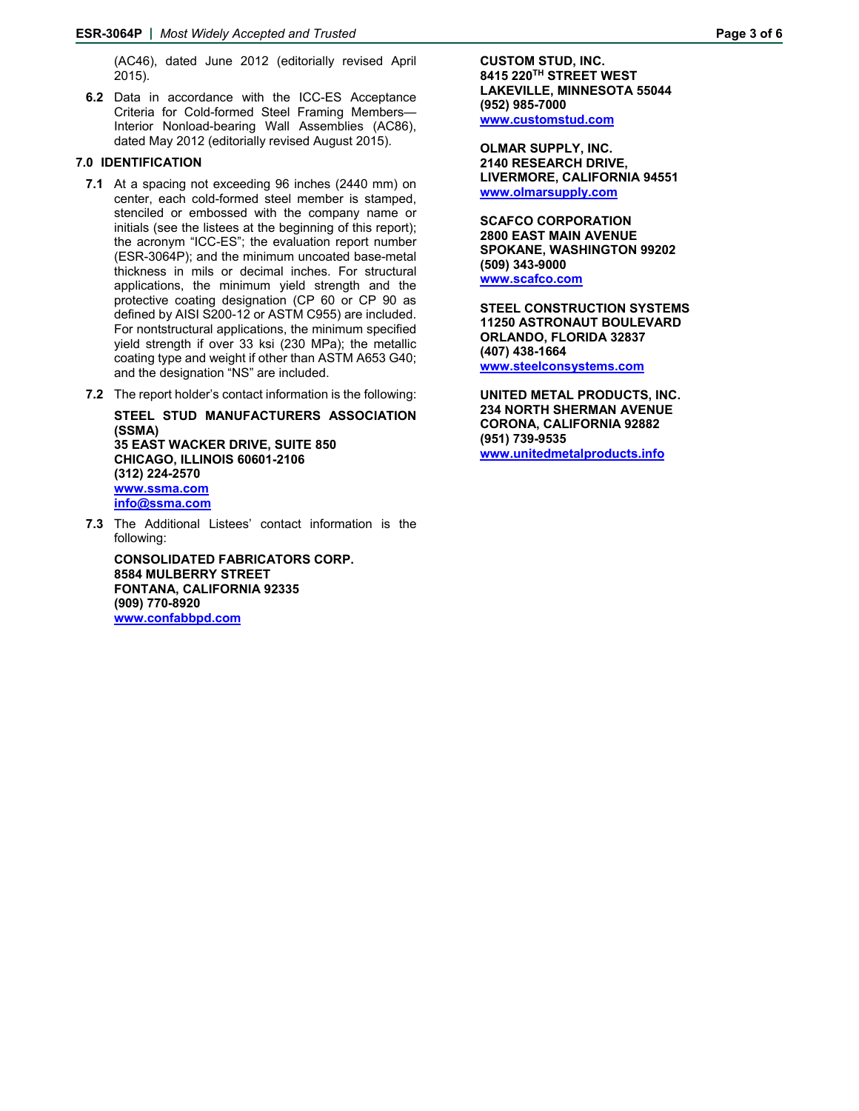(AC46), dated June 2012 (editorially revised April 2015).

**6.2** Data in accordance with the ICC-ES Acceptance Criteria for Cold-formed Steel Framing Members— Interior Nonload-bearing Wall Assemblies (AC86), dated May 2012 (editorially revised August 2015).

#### **7.0 IDENTIFICATION**

- **7.1** At a spacing not exceeding 96 inches (2440 mm) on center, each cold-formed steel member is stamped, stenciled or embossed with the company name or initials (see the listees at the beginning of this report); the acronym "ICC-ES"; the evaluation report number (ESR-3064P); and the minimum uncoated base-metal thickness in mils or decimal inches. For structural applications, the minimum yield strength and the protective coating designation (CP 60 or CP 90 as defined by AISI S200-12 or ASTM C955) are included. For nontstructural applications, the minimum specified yield strength if over 33 ksi (230 MPa); the metallic coating type and weight if other than ASTM A653 G40; and the designation "NS" are included.
- **7.2** The report holder's contact information is the following:

**STEEL STUD MANUFACTURERS ASSOCIATION (SSMA) 35 EAST WACKER DRIVE, SUITE 850 CHICAGO, ILLINOIS 60601-2106 (312) 224-2570 www.ssma.com info@ssma.com** 

**7.3** The Additional Listees' contact information is the following:

**CONSOLIDATED FABRICATORS CORP. 8584 MULBERRY STREET FONTANA, CALIFORNIA 92335 (909) 770-8920 www.confabbpd.com**

**CUSTOM STUD, INC. 8415 220TH STREET WEST LAKEVILLE, MINNESOTA 55044 (952) 985-7000 www.customstud.com** 

**OLMAR SUPPLY, INC. 2140 RESEARCH DRIVE, LIVERMORE, CALIFORNIA 94551 www.olmarsupply.com** 

**SCAFCO CORPORATION 2800 EAST MAIN AVENUE SPOKANE, WASHINGTON 99202 (509) 343-9000 www.scafco.com**

**STEEL CONSTRUCTION SYSTEMS 11250 ASTRONAUT BOULEVARD ORLANDO, FLORIDA 32837 (407) 438-1664 www.steelconsystems.com**

**UNITED METAL PRODUCTS, INC. 234 NORTH SHERMAN AVENUE CORONA, CALIFORNIA 92882 (951) 739-9535 www.unitedmetalproducts.info**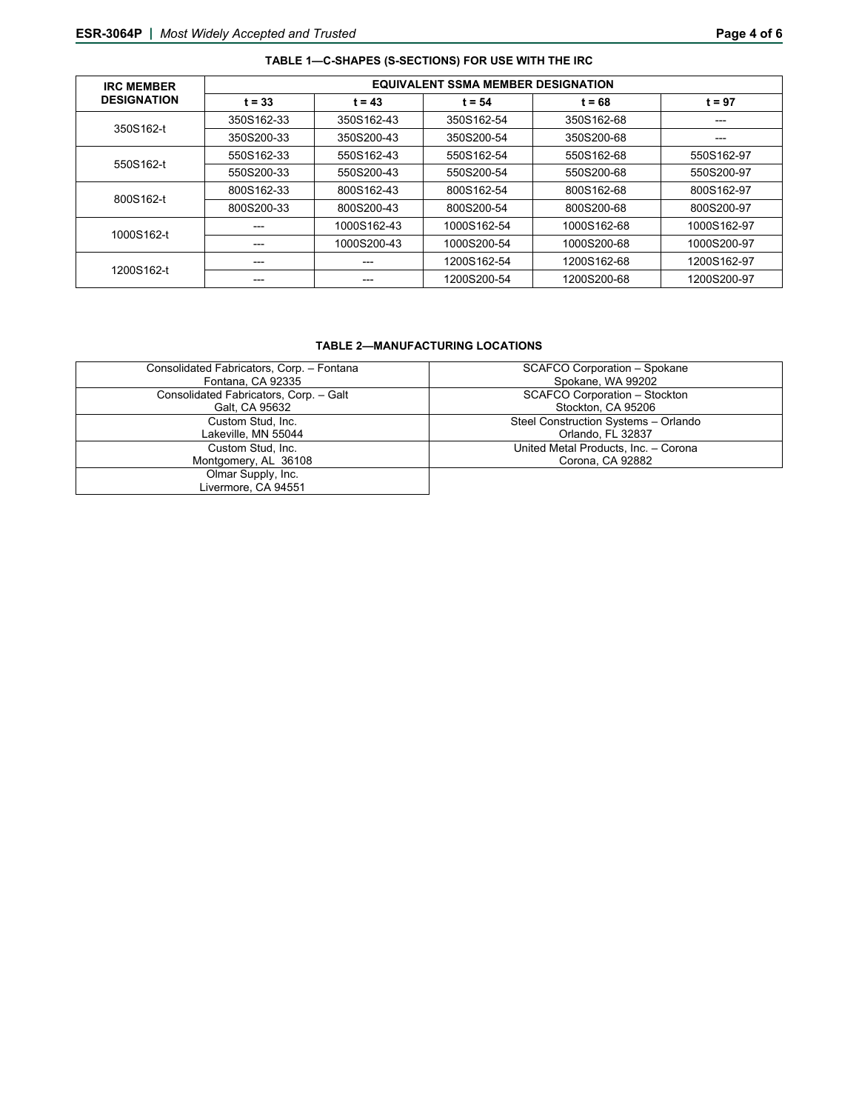| TABLE 1-C-SHAPES (S-SECTIONS) FOR USE WITH THE IRC |                                           |             |             |             |             |
|----------------------------------------------------|-------------------------------------------|-------------|-------------|-------------|-------------|
| <b>IRC MEMBER</b>                                  | <b>EQUIVALENT SSMA MEMBER DESIGNATION</b> |             |             |             |             |
| <b>DESIGNATION</b>                                 | $t = 33$                                  | $t = 43$    | $t = 54$    | $t = 68$    | $t = 97$    |
| 350S162-t                                          | 350S162-33                                | 350S162-43  | 350S162-54  | 350S162-68  | ---         |
|                                                    | 350S200-33                                | 350S200-43  | 350S200-54  | 350S200-68  | ---         |
|                                                    | 550S162-33                                | 550S162-43  | 550S162-54  | 550S162-68  | 550S162-97  |
| 550S162-t                                          | 550S200-33                                | 550S200-43  | 550S200-54  | 550S200-68  | 550S200-97  |
| 800S162-t                                          | 800S162-33                                | 800S162-43  | 800S162-54  | 800S162-68  | 800S162-97  |
|                                                    | 800S200-33                                | 800S200-43  | 800S200-54  | 800S200-68  | 800S200-97  |
| 1000S162-t                                         | ---                                       | 1000S162-43 | 1000S162-54 | 1000S162-68 | 1000S162-97 |
|                                                    |                                           | 1000S200-43 | 1000S200-54 | 1000S200-68 | 1000S200-97 |
| 1200S162-t                                         | ---                                       |             | 1200S162-54 | 1200S162-68 | 1200S162-97 |
|                                                    |                                           |             | 1200S200-54 | 1200S200-68 | 1200S200-97 |

### **TABLE 2—MANUFACTURING LOCATIONS**

| Consolidated Fabricators, Corp. - Fontana | <b>SCAFCO Corporation - Spokane</b>  |
|-------------------------------------------|--------------------------------------|
| Fontana, CA 92335                         | Spokane, WA 99202                    |
| Consolidated Fabricators, Corp. - Galt    | <b>SCAFCO Corporation - Stockton</b> |
| Galt, CA 95632                            | Stockton, CA 95206                   |
| Custom Stud. Inc.                         | Steel Construction Systems - Orlando |
| Lakeville, MN 55044                       | Orlando, FL 32837                    |
| Custom Stud. Inc.                         | United Metal Products, Inc. - Corona |
| Montgomery, AL 36108                      | Corona, CA 92882                     |
| Olmar Supply, Inc.                        |                                      |
| Livermore, CA 94551                       |                                      |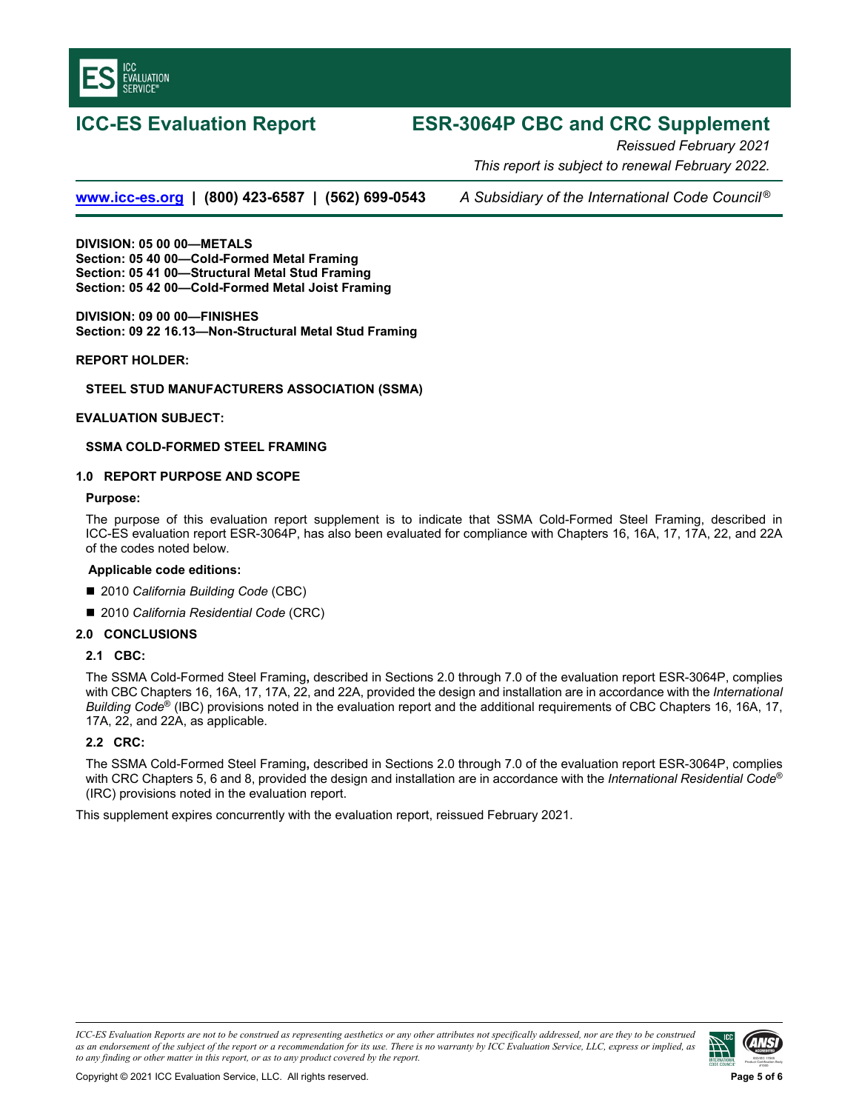

## **ICC-ES Evaluation Report ESR-3064P CBC and CRC Supplement**

*Reissued February 2021 This report is subject to renewal February 2022.* 

**www.icc-es.org | (800) 423-6587 | (562) 699-0543** *A Subsidiary of the International Code Council ®*

**DIVISION: 05 00 00—METALS Section: 05 40 00—Cold-Formed Metal Framing Section: 05 41 00—Structural Metal Stud Framing Section: 05 42 00—Cold-Formed Metal Joist Framing** 

**DIVISION: 09 00 00—FINISHES Section: 09 22 16.13—Non-Structural Metal Stud Framing**

**REPORT HOLDER:** 

#### **STEEL STUD MANUFACTURERS ASSOCIATION (SSMA)**

#### **EVALUATION SUBJECT:**

#### **SSMA COLD-FORMED STEEL FRAMING**

#### **1.0 REPORT PURPOSE AND SCOPE**

#### **Purpose:**

The purpose of this evaluation report supplement is to indicate that SSMA Cold-Formed Steel Framing, described in ICC-ES evaluation report ESR-3064P, has also been evaluated for compliance with Chapters 16, 16A, 17, 17A, 22, and 22A of the codes noted below.

#### **Applicable code editions:**

- 2010 *California Building Code* (CBC)
- 2010 *California Residential Code* (CRC)

#### **2.0 CONCLUSIONS**

#### **2.1 CBC:**

The SSMA Cold-Formed Steel Framing**,** described in Sections 2.0 through 7.0 of the evaluation report ESR-3064P, complies with CBC Chapters 16, 16A, 17, 17A, 22, and 22A, provided the design and installation are in accordance with the *International Building Code*® (IBC) provisions noted in the evaluation report and the additional requirements of CBC Chapters 16, 16A, 17, 17A, 22, and 22A, as applicable.

#### **2.2 CRC:**

The SSMA Cold-Formed Steel Framing**,** described in Sections 2.0 through 7.0 of the evaluation report ESR-3064P, complies with CRC Chapters 5, 6 and 8, provided the design and installation are in accordance with the *International Residential Code*® (IRC) provisions noted in the evaluation report.

This supplement expires concurrently with the evaluation report, reissued February 2021.

*ICC-ES Evaluation Reports are not to be construed as representing aesthetics or any other attributes not specifically addressed, nor are they to be construed as an endorsement of the subject of the report or a recommendation for its use. There is no warranty by ICC Evaluation Service, LLC, express or implied, as to any finding or other matter in this report, or as to any product covered by the report.*